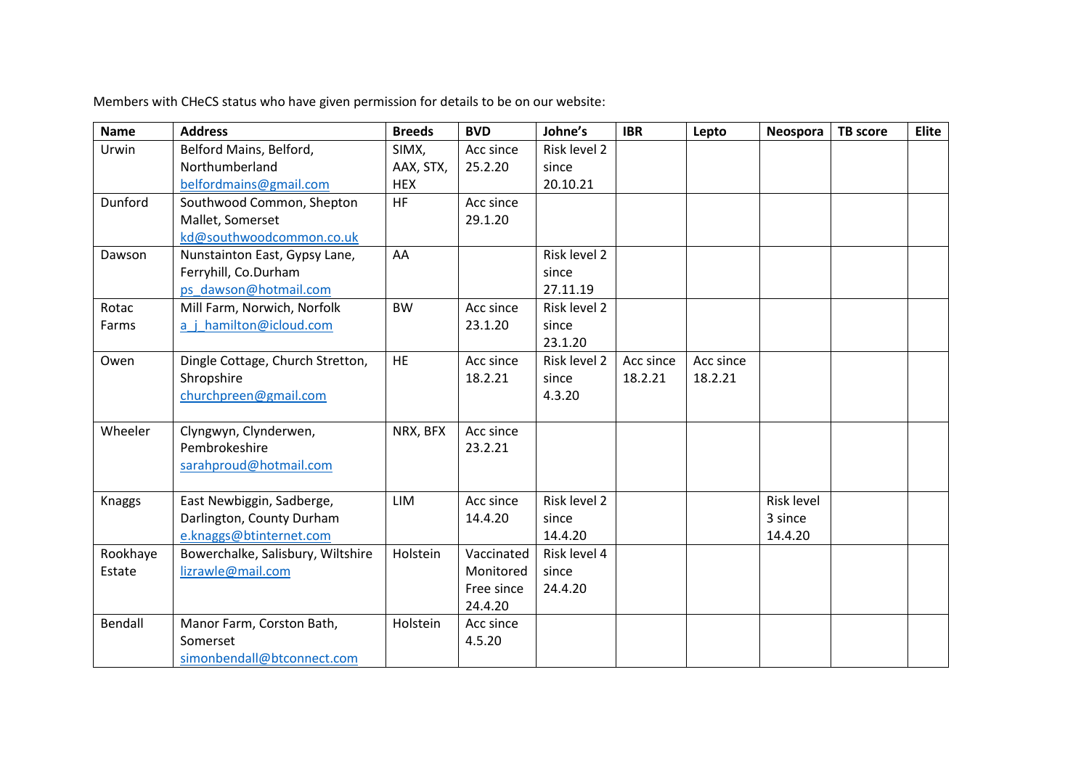Members with CHeCS status who have given permission for details to be on our website:

| <b>Name</b> | <b>Address</b>                    | <b>Breeds</b> | <b>BVD</b> | Johne's      | <b>IBR</b> | Lepto     | Neospora   | <b>TB</b> score | <b>Elite</b> |
|-------------|-----------------------------------|---------------|------------|--------------|------------|-----------|------------|-----------------|--------------|
| Urwin       | Belford Mains, Belford,           | SIMX,         | Acc since  | Risk level 2 |            |           |            |                 |              |
|             | Northumberland                    | AAX, STX,     | 25.2.20    | since        |            |           |            |                 |              |
|             | belfordmains@gmail.com            | <b>HEX</b>    |            | 20.10.21     |            |           |            |                 |              |
| Dunford     | Southwood Common, Shepton         | <b>HF</b>     | Acc since  |              |            |           |            |                 |              |
|             | Mallet, Somerset                  |               | 29.1.20    |              |            |           |            |                 |              |
|             | kd@southwoodcommon.co.uk          |               |            |              |            |           |            |                 |              |
| Dawson      | Nunstainton East, Gypsy Lane,     | AA            |            | Risk level 2 |            |           |            |                 |              |
|             | Ferryhill, Co.Durham              |               |            | since        |            |           |            |                 |              |
|             | ps dawson@hotmail.com             |               |            | 27.11.19     |            |           |            |                 |              |
| Rotac       | Mill Farm, Norwich, Norfolk       | <b>BW</b>     | Acc since  | Risk level 2 |            |           |            |                 |              |
| Farms       | a j hamilton@icloud.com           |               | 23.1.20    | since        |            |           |            |                 |              |
|             |                                   |               |            | 23.1.20      |            |           |            |                 |              |
| Owen        | Dingle Cottage, Church Stretton,  | <b>HE</b>     | Acc since  | Risk level 2 | Acc since  | Acc since |            |                 |              |
|             | Shropshire                        |               | 18.2.21    | since        | 18.2.21    | 18.2.21   |            |                 |              |
|             | churchpreen@gmail.com             |               |            | 4.3.20       |            |           |            |                 |              |
|             |                                   |               |            |              |            |           |            |                 |              |
| Wheeler     | Clyngwyn, Clynderwen,             | NRX, BFX      | Acc since  |              |            |           |            |                 |              |
|             | Pembrokeshire                     |               | 23.2.21    |              |            |           |            |                 |              |
|             | sarahproud@hotmail.com            |               |            |              |            |           |            |                 |              |
|             |                                   |               |            |              |            |           |            |                 |              |
| Knaggs      | East Newbiggin, Sadberge,         | <b>LIM</b>    | Acc since  | Risk level 2 |            |           | Risk level |                 |              |
|             | Darlington, County Durham         |               | 14.4.20    | since        |            |           | 3 since    |                 |              |
|             | e.knaggs@btinternet.com           |               |            | 14.4.20      |            |           | 14.4.20    |                 |              |
| Rookhaye    | Bowerchalke, Salisbury, Wiltshire | Holstein      | Vaccinated | Risk level 4 |            |           |            |                 |              |
| Estate      | lizrawle@mail.com                 |               | Monitored  | since        |            |           |            |                 |              |
|             |                                   |               | Free since | 24.4.20      |            |           |            |                 |              |
|             |                                   |               | 24.4.20    |              |            |           |            |                 |              |
| Bendall     | Manor Farm, Corston Bath,         | Holstein      | Acc since  |              |            |           |            |                 |              |
|             | Somerset                          |               | 4.5.20     |              |            |           |            |                 |              |
|             | simonbendall@btconnect.com        |               |            |              |            |           |            |                 |              |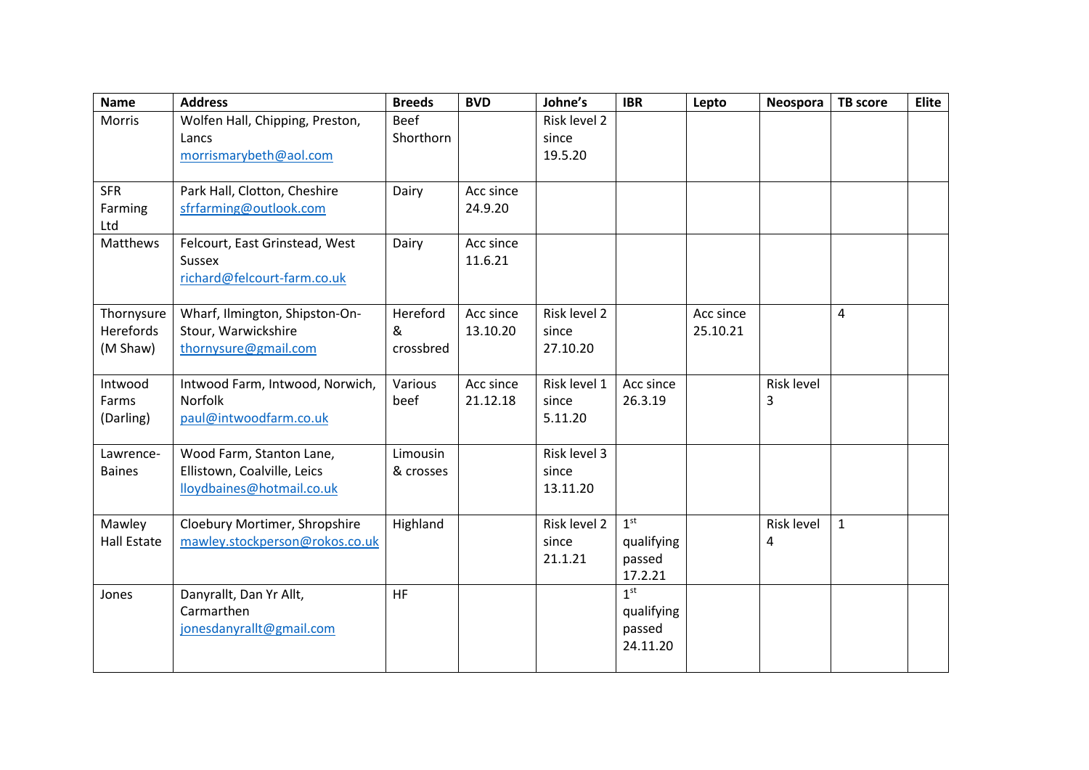| <b>Name</b>                | <b>Address</b>                                          | <b>Breeds</b> | <b>BVD</b> | Johne's           | <b>IBR</b>      | Lepto     | Neospora   | <b>TB</b> score | <b>Elite</b> |
|----------------------------|---------------------------------------------------------|---------------|------------|-------------------|-----------------|-----------|------------|-----------------|--------------|
| <b>Morris</b>              | Wolfen Hall, Chipping, Preston,                         | <b>Beef</b>   |            | Risk level 2      |                 |           |            |                 |              |
|                            | Lancs                                                   | Shorthorn     |            | since             |                 |           |            |                 |              |
|                            | morrismarybeth@aol.com                                  |               |            | 19.5.20           |                 |           |            |                 |              |
|                            |                                                         |               |            |                   |                 |           |            |                 |              |
| <b>SFR</b>                 | Park Hall, Clotton, Cheshire                            | Dairy         | Acc since  |                   |                 |           |            |                 |              |
| Farming                    | sfrfarming@outlook.com                                  |               | 24.9.20    |                   |                 |           |            |                 |              |
| Ltd<br>Matthews            | Felcourt, East Grinstead, West                          |               | Acc since  |                   |                 |           |            |                 |              |
|                            | Sussex                                                  | Dairy         | 11.6.21    |                   |                 |           |            |                 |              |
|                            | richard@felcourt-farm.co.uk                             |               |            |                   |                 |           |            |                 |              |
|                            |                                                         |               |            |                   |                 |           |            |                 |              |
| Thornysure                 | Wharf, Ilmington, Shipston-On-                          | Hereford      | Acc since  | Risk level 2      |                 | Acc since |            | 4               |              |
| Herefords                  | Stour, Warwickshire                                     | &             | 13.10.20   | since             |                 | 25.10.21  |            |                 |              |
| (M Shaw)                   | thornysure@gmail.com                                    | crossbred     |            | 27.10.20          |                 |           |            |                 |              |
|                            |                                                         |               |            |                   |                 |           |            |                 |              |
| Intwood                    | Intwood Farm, Intwood, Norwich,                         | Various       | Acc since  | Risk level 1      | Acc since       |           | Risk level |                 |              |
| Farms                      | Norfolk                                                 | beef          | 21.12.18   | since             | 26.3.19         |           | 3          |                 |              |
| (Darling)                  | paul@intwoodfarm.co.uk                                  |               |            | 5.11.20           |                 |           |            |                 |              |
|                            |                                                         |               |            |                   |                 |           |            |                 |              |
| Lawrence-<br><b>Baines</b> | Wood Farm, Stanton Lane,<br>Ellistown, Coalville, Leics | Limousin      |            | Risk level 3      |                 |           |            |                 |              |
|                            | lloydbaines@hotmail.co.uk                               | & crosses     |            | since<br>13.11.20 |                 |           |            |                 |              |
|                            |                                                         |               |            |                   |                 |           |            |                 |              |
| Mawley                     | Cloebury Mortimer, Shropshire                           | Highland      |            | Risk level 2      | 1 <sup>st</sup> |           | Risk level | $\mathbf{1}$    |              |
| <b>Hall Estate</b>         | mawley.stockperson@rokos.co.uk                          |               |            | since             | qualifying      |           | 4          |                 |              |
|                            |                                                         |               |            | 21.1.21           | passed          |           |            |                 |              |
|                            |                                                         |               |            |                   | 17.2.21         |           |            |                 |              |
| Jones                      | Danyrallt, Dan Yr Allt,                                 | <b>HF</b>     |            |                   | 1 <sup>st</sup> |           |            |                 |              |
|                            | Carmarthen                                              |               |            |                   | qualifying      |           |            |                 |              |
|                            | jonesdanyrallt@gmail.com                                |               |            |                   | passed          |           |            |                 |              |
|                            |                                                         |               |            |                   | 24.11.20        |           |            |                 |              |
|                            |                                                         |               |            |                   |                 |           |            |                 |              |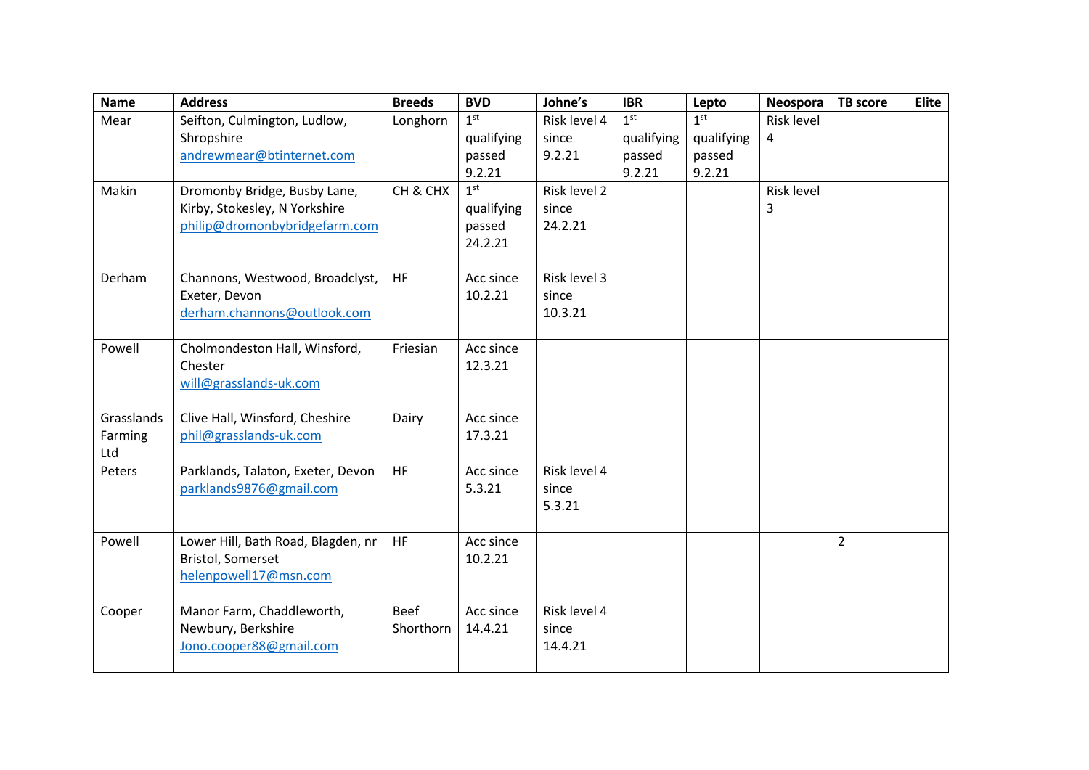| <b>Name</b>                  | <b>Address</b>                                                                                 | <b>Breeds</b>            | <b>BVD</b>                                                   | Johne's                          | <b>IBR</b>                                        | Lepto                                             | Neospora        | <b>TB</b> score | <b>Elite</b> |
|------------------------------|------------------------------------------------------------------------------------------------|--------------------------|--------------------------------------------------------------|----------------------------------|---------------------------------------------------|---------------------------------------------------|-----------------|-----------------|--------------|
| Mear                         | Seifton, Culmington, Ludlow,<br>Shropshire<br>andrewmear@btinternet.com                        | Longhorn                 | 1 <sup>st</sup><br>qualifying<br>passed                      | Risk level 4<br>since<br>9.2.21  | 1 <sup>st</sup><br>qualifying<br>passed<br>9.2.21 | 1 <sup>st</sup><br>qualifying<br>passed<br>9.2.21 | Risk level<br>4 |                 |              |
| Makin                        | Dromonby Bridge, Busby Lane,<br>Kirby, Stokesley, N Yorkshire<br>philip@dromonbybridgefarm.com | CH & CHX                 | 9.2.21<br>1 <sup>st</sup><br>qualifying<br>passed<br>24.2.21 | Risk level 2<br>since<br>24.2.21 |                                                   |                                                   | Risk level<br>3 |                 |              |
| Derham                       | Channons, Westwood, Broadclyst,<br>Exeter, Devon<br>derham.channons@outlook.com                | HF                       | Acc since<br>10.2.21                                         | Risk level 3<br>since<br>10.3.21 |                                                   |                                                   |                 |                 |              |
| Powell                       | Cholmondeston Hall, Winsford,<br>Chester<br>will@grasslands-uk.com                             | Friesian                 | Acc since<br>12.3.21                                         |                                  |                                                   |                                                   |                 |                 |              |
| Grasslands<br>Farming<br>Ltd | Clive Hall, Winsford, Cheshire<br>phil@grasslands-uk.com                                       | Dairy                    | Acc since<br>17.3.21                                         |                                  |                                                   |                                                   |                 |                 |              |
| Peters                       | Parklands, Talaton, Exeter, Devon<br>parklands9876@gmail.com                                   | HF                       | Acc since<br>5.3.21                                          | Risk level 4<br>since<br>5.3.21  |                                                   |                                                   |                 |                 |              |
| Powell                       | Lower Hill, Bath Road, Blagden, nr<br><b>Bristol, Somerset</b><br>helenpowell17@msn.com        | HF                       | Acc since<br>10.2.21                                         |                                  |                                                   |                                                   |                 | $\overline{2}$  |              |
| Cooper                       | Manor Farm, Chaddleworth,<br>Newbury, Berkshire<br>Jono.cooper88@gmail.com                     | <b>Beef</b><br>Shorthorn | Acc since<br>14.4.21                                         | Risk level 4<br>since<br>14.4.21 |                                                   |                                                   |                 |                 |              |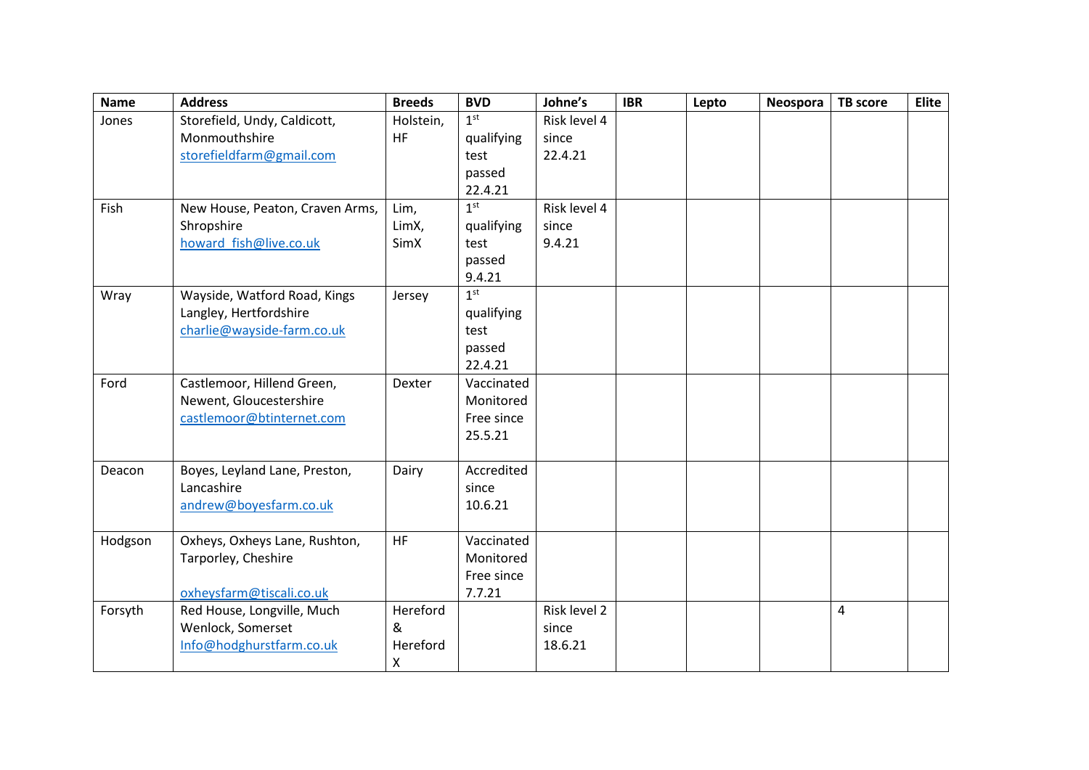| <b>Name</b> | <b>Address</b>                  | <b>Breeds</b>  | <b>BVD</b>      | Johne's      | <b>IBR</b> | Lepto | Neospora | <b>TB</b> score | <b>Elite</b> |
|-------------|---------------------------------|----------------|-----------------|--------------|------------|-------|----------|-----------------|--------------|
| Jones       | Storefield, Undy, Caldicott,    | Holstein,      | 1 <sup>st</sup> | Risk level 4 |            |       |          |                 |              |
|             | Monmouthshire                   | <b>HF</b>      | qualifying      | since        |            |       |          |                 |              |
|             | storefieldfarm@gmail.com        |                | test            | 22.4.21      |            |       |          |                 |              |
|             |                                 |                | passed          |              |            |       |          |                 |              |
|             |                                 |                | 22.4.21         |              |            |       |          |                 |              |
| Fish        | New House, Peaton, Craven Arms, | Lim,           | 1 <sup>st</sup> | Risk level 4 |            |       |          |                 |              |
|             | Shropshire                      | LimX,          | qualifying      | since        |            |       |          |                 |              |
|             | howard fish@live.co.uk          | SimX           | test            | 9.4.21       |            |       |          |                 |              |
|             |                                 |                | passed          |              |            |       |          |                 |              |
|             |                                 |                | 9.4.21          |              |            |       |          |                 |              |
| Wray        | Wayside, Watford Road, Kings    | Jersey         | 1 <sup>st</sup> |              |            |       |          |                 |              |
|             | Langley, Hertfordshire          |                | qualifying      |              |            |       |          |                 |              |
|             | charlie@wayside-farm.co.uk      |                | test            |              |            |       |          |                 |              |
|             |                                 |                | passed          |              |            |       |          |                 |              |
|             |                                 |                | 22.4.21         |              |            |       |          |                 |              |
| Ford        | Castlemoor, Hillend Green,      | Dexter         | Vaccinated      |              |            |       |          |                 |              |
|             | Newent, Gloucestershire         |                | Monitored       |              |            |       |          |                 |              |
|             | castlemoor@btinternet.com       |                | Free since      |              |            |       |          |                 |              |
|             |                                 |                | 25.5.21         |              |            |       |          |                 |              |
| Deacon      | Boyes, Leyland Lane, Preston,   | Dairy          | Accredited      |              |            |       |          |                 |              |
|             | Lancashire                      |                | since           |              |            |       |          |                 |              |
|             | andrew@boyesfarm.co.uk          |                | 10.6.21         |              |            |       |          |                 |              |
|             |                                 |                |                 |              |            |       |          |                 |              |
| Hodgson     | Oxheys, Oxheys Lane, Rushton,   | HF             | Vaccinated      |              |            |       |          |                 |              |
|             | Tarporley, Cheshire             |                | Monitored       |              |            |       |          |                 |              |
|             |                                 |                | Free since      |              |            |       |          |                 |              |
|             | oxheysfarm@tiscali.co.uk        |                | 7.7.21          |              |            |       |          |                 |              |
| Forsyth     | Red House, Longville, Much      | Hereford       |                 | Risk level 2 |            |       |          | $\overline{4}$  |              |
|             | Wenlock, Somerset               | &              |                 | since        |            |       |          |                 |              |
|             | Info@hodghurstfarm.co.uk        | Hereford       |                 | 18.6.21      |            |       |          |                 |              |
|             |                                 | $\pmb{\times}$ |                 |              |            |       |          |                 |              |